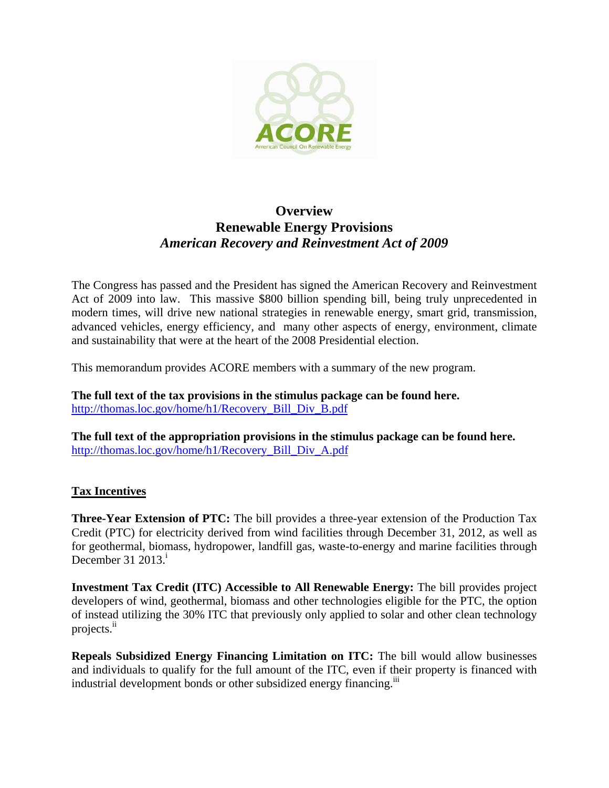

## **Overview Renewable Energy Provisions**  *American Recovery and Reinvestment Act of 2009*

The Congress has passed and the President has signed the American Recovery and Reinvestment Act of 2009 into law. This massive \$800 billion spending bill, being truly unprecedented in modern times, will drive new national strategies in renewable energy, smart grid, transmission, advanced vehicles, energy efficiency, and many other aspects of energy, environment, climate and sustainability that were at the heart of the 2008 Presidential election.

This memorandum provides ACORE members with a summary of the new program.

**The full text of the tax provisions in the stimulus package can be found here.**  http://thomas.loc.gov/home/h1/Recovery\_Bill\_Div\_B.pdf

**The full text of the appropriation provisions in the stimulus package can be found here.**  http://thomas.loc.gov/home/h1/Recovery\_Bill\_Div\_A.pdf

## **Tax Incentives**

**Three-Year Extension of PTC:** The bill provides a three-year extension of the Production Tax Credit (PTC) for electricity derived from wind facilities through December 31, 2012, as well as for geothermal, biomass, hydropower, landfill gas, waste-to-energy and marine facilities through December 31  $2013<sup>i</sup>$ 

**Investment Tax Credit (ITC) Accessible to All Renewable Energy:** The bill provides project developers of wind, geothermal, biomass and other technologies eligible for the PTC, the option of instead utilizing the 30% ITC that previously only applied to solar and other clean technology projects.<sup>ii</sup>

**Repeals Subsidized Energy Financing Limitation on ITC:** The bill would allow businesses and individuals to qualify for the full amount of the ITC, even if their property is financed with industrial development bonds or other subsidized energy financing.<sup>iii</sup>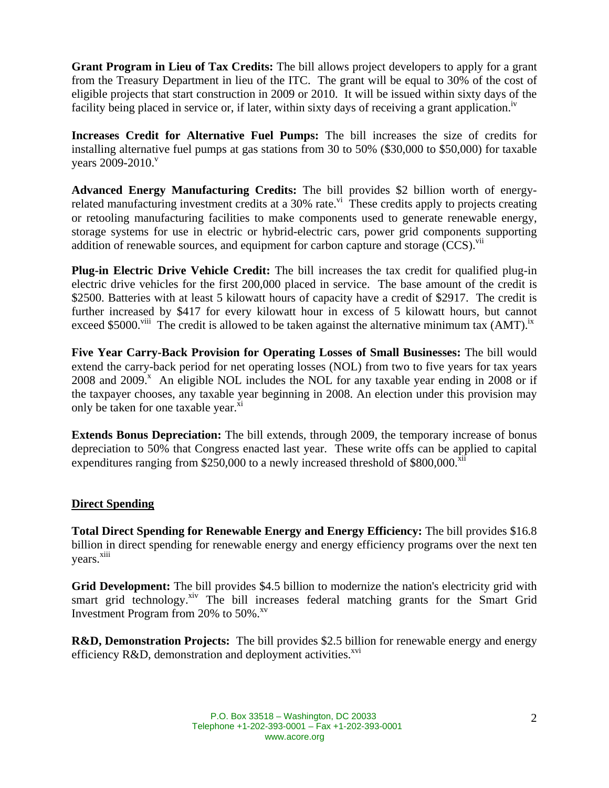**Grant Program in Lieu of Tax Credits:** The bill allows project developers to apply for a grant from the Treasury Department in lieu of the ITC. The grant will be equal to 30% of the cost of eligible projects that start construction in 2009 or 2010. It will be issued within sixty days of the facility being placed in service or, if later, within sixty days of receiving a grant application.<sup> $\mu$ </sup>

**Increases Credit for Alternative Fuel Pumps:** The bill increases the size of credits for installing alternative fuel pumps at gas stations from 30 to 50% (\$30,000 to \$50,000) for taxable years 2009-2010.<sup>v</sup>

**Advanced Energy Manufacturing Credits:** The bill provides \$2 billion worth of energyrelated manufacturing investment credits at a 30% rate.<sup>vi</sup> These credits apply to projects creating or retooling manufacturing facilities to make components used to generate renewable energy, storage systems for use in electric or hybrid-electric cars, power grid components supporting addition of renewable sources, and equipment for carbon capture and storage  $(CCS)$ .  $\frac{V}{I}$ 

**Plug-in Electric Drive Vehicle Credit:** The bill increases the tax credit for qualified plug-in electric drive vehicles for the first 200,000 placed in service. The base amount of the credit is \$2500. Batteries with at least 5 kilowatt hours of capacity have a credit of \$2917. The credit is further increased by \$417 for every kilowatt hour in excess of 5 kilowatt hours, but cannot exceed \$5000.<sup>viii</sup> The credit is allowed to be taken against the alternative minimum tax  $(AMT)$ .<sup>ix</sup>

**Five Year Carry-Back Provision for Operating Losses of Small Businesses:** The bill would extend the carry-back period for net operating losses (NOL) from two to five years for tax years  $2008$  and  $2009$ .<sup>x</sup> An eligible NOL includes the NOL for any taxable year ending in 2008 or if the taxpayer chooses, any taxable year beginning in 2008. An election under this provision may only be taken for one taxable year.<sup>xi</sup>

**Extends Bonus Depreciation:** The bill extends, through 2009, the temporary increase of bonus depreciation to 50% that Congress enacted last year. These write offs can be applied to capital expenditures ranging from \$250,000 to a newly increased threshold of  $$800,000$ <sup>xii</sup>

## **Direct Spending**

**Total Direct Spending for Renewable Energy and Energy Efficiency:** The bill provides \$16.8 billion in direct spending for renewable energy and energy efficiency programs over the next ten years. xiii

Grid Development: The bill provides \$4.5 billion to modernize the nation's electricity grid with smart grid technology.<sup>xiv</sup> The bill increases federal matching grants for the Smart Grid Investment Program from 20% to  $50\%$ .<sup>xv</sup>

**R&D, Demonstration Projects:** The bill provides \$2.5 billion for renewable energy and energy efficiency  $R&D$ , demonstration and deployment activities.<sup>xvi</sup>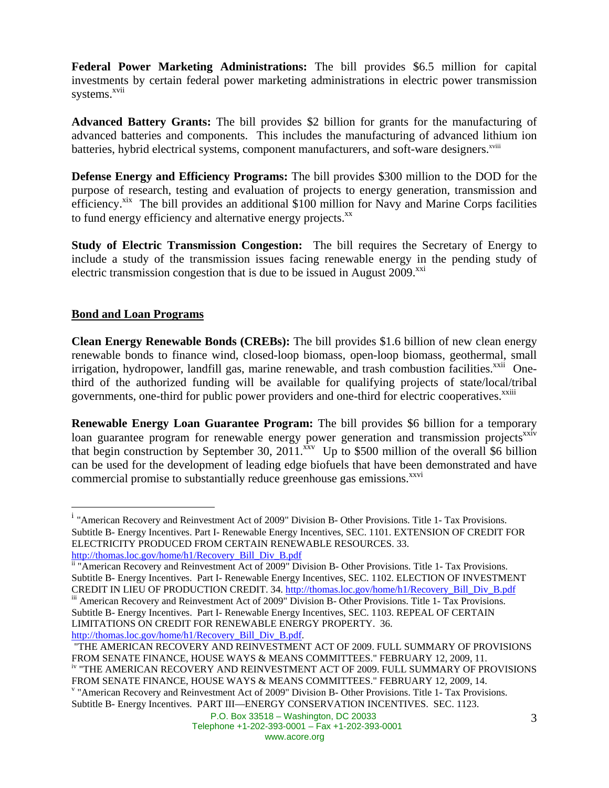**Federal Power Marketing Administrations:** The bill provides \$6.5 million for capital investments by certain federal power marketing administrations in electric power transmission systems.<sup>xvii</sup>

**Advanced Battery Grants:** The bill provides \$2 billion for grants for the manufacturing of advanced batteries and components. This includes the manufacturing of advanced lithium ion batteries, hybrid electrical systems, component manufacturers, and soft-ware designers.<sup>xviii</sup>

**Defense Energy and Efficiency Programs:** The bill provides \$300 million to the DOD for the purpose of research, testing and evaluation of projects to energy generation, transmission and efficiency.<sup>xix</sup> The bill provides an additional \$100 million for Navy and Marine Corps facilities to fund energy efficiency and alternative energy projects.<sup>xx</sup>

**Study of Electric Transmission Congestion:** The bill requires the Secretary of Energy to include a study of the transmission issues facing renewable energy in the pending study of electric transmission congestion that is due to be issued in August 2009.<sup>xxi</sup>

## **Bond and Loan Programs**

 $\overline{a}$ 

**Clean Energy Renewable Bonds (CREBs):** The bill provides \$1.6 billion of new clean energy renewable bonds to finance wind, closed-loop biomass, open-loop biomass, geothermal, small irrigation, hydropower, landfill gas, marine renewable, and trash combustion facilities.<sup>xxii</sup> Onethird of the authorized funding will be available for qualifying projects of state/local/tribal governments, one-third for public power providers and one-third for electric cooperatives.<sup>xxiii</sup>

**Renewable Energy Loan Guarantee Program:** The bill provides \$6 billion for a temporary loan guarantee program for renewable energy power generation and transmission projects<sup>xxiv</sup> that begin construction by September 30, 2011.<sup>xxv</sup> Up to \$500 million of the overall \$6 billion can be used for the development of leading edge biofuels that have been demonstrated and have commercial promise to substantially reduce greenhouse gas emissions.<sup>xxvi</sup>

 "THE AMERICAN RECOVERY AND REINVESTMENT ACT OF 2009. FULL SUMMARY OF PROVISIONS FROM SENATE FINANCE, HOUSE WAYS & MEANS COMMITTEES." FEBRUARY 12, 2009, 11. iv "THE AMERICAN RECOVERY AND REINVESTMENT ACT OF 2009. FULL SUMMARY OF PROVISIONS FROM SENATE FINANCE, HOUSE WAYS & MEANS COMMITTEES." FEBRUARY 12, 2009, 14. v "American Recovery and Reinvestment Act of 2009" Division B- Other Provisions. Title 1- Tax Provisions. Subtitle B- Energy Incentives. PART III—ENERGY CONSERVATION INCENTIVES. SEC. 1123.

<sup>&</sup>lt;sup>i</sup> "American Recovery and Reinvestment Act of 2009" Division B- Other Provisions. Title 1- Tax Provisions. Subtitle B- Energy Incentives. Part I- Renewable Energy Incentives, SEC. 1101. EXTENSION OF CREDIT FOR ELECTRICITY PRODUCED FROM CERTAIN RENEWABLE RESOURCES. 33.

http://thomas.loc.gov/home/h1/Recovery\_Bill\_Div\_B.pdf<br>
<sup>ii</sup> "American Recovery and Reinvestment Act of 2009" Division B- Other Provisions. Title 1- Tax Provisions. Subtitle B- Energy Incentives. Part I- Renewable Energy Incentives, SEC. 1102. ELECTION OF INVESTMENT CREDIT IN LIEU OF PRODUCTION CREDIT. 34. http://thomas.loc.gov/home/h1/Recovery\_Bill\_Div\_B.pdf iii American Recovery and Reinvestment Act of 2009" Division B- Other Provisions. Title 1- Tax Provisions. Subtitle B- Energy Incentives. Part I- Renewable Energy Incentives, SEC. 1103. REPEAL OF CERTAIN LIMITATIONS ON CREDIT FOR RENEWABLE ENERGY PROPERTY. 36. http://thomas.loc.gov/home/h1/Recovery\_Bill\_Div\_B.pdf.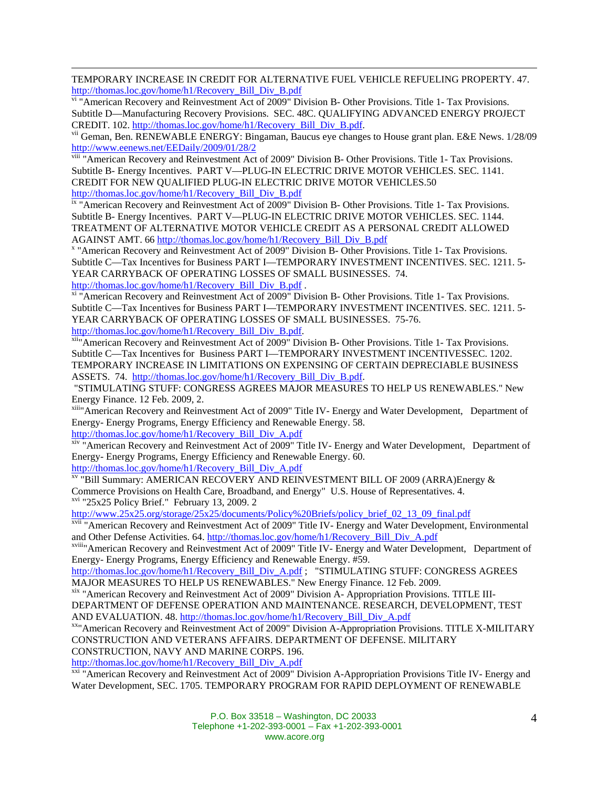TEMPORARY INCREASE IN CREDIT FOR ALTERNATIVE FUEL VEHICLE REFUELING PROPERTY. 47. http://thomas.loc.gov/home/h1/Recovery\_Bill\_Div\_B.pdf<br><sup>vi</sup> "American Recovery and Reinvestment Act of 2009" Division B- Other Provisions. Title 1- Tax Provisions.

Subtitle D—Manufacturing Recovery Provisions. SEC. 48C. QUALIFYING ADVANCED ENERGY PROJECT CREDIT. 102. http://thomas.loc.gov/home/h1/Recovery\_Bill\_Div\_B.pdf.<br>vii Geman, Ben. RENEWABLE ENERGY: Bingaman, Baucus eye changes to House grant plan. E&E News. 1/28/09

http://www.eenews.net/EEDaily/2009/01/28/2<br>viii "American Recovery and Reinvestment Act of 2009" Division B- Other Provisions. Title 1- Tax Provisions.

Subtitle B- Energy Incentives. PART V—PLUG-IN ELECTRIC DRIVE MOTOR VEHICLES. SEC. 1141. CREDIT FOR NEW QUALIFIED PLUG-IN ELECTRIC DRIVE MOTOR VEHICLES.50

http://thomas.loc.gov/home/h1/Recovery\_Bill\_Div\_B.pdf ix "American Recovery and Reinvestment Act of 2009" Division B- Other Provisions. Title 1- Tax Provisions. Subtitle B- Energy Incentives. PART V—PLUG-IN ELECTRIC DRIVE MOTOR VEHICLES. SEC. 1144. TREATMENT OF ALTERNATIVE MOTOR VEHICLE CREDIT AS A PERSONAL CREDIT ALLOWED AGAINST AMT. 66 http://thomas.loc.gov/home/h1/Recovery\_Bill\_Div\_B.pdf x

 "American Recovery and Reinvestment Act of 2009" Division B- Other Provisions. Title 1- Tax Provisions. Subtitle C—Tax Incentives for Business PART I—TEMPORARY INVESTMENT INCENTIVES. SEC. 1211. 5- YEAR CARRYBACK OF OPERATING LOSSES OF SMALL BUSINESSES. 74.

http://thomas.loc.gov/home/h1/Recovery\_Bill\_Div\_B.pdf .<br>
<sup>xi</sup> "American Recovery and Reinvestment Act of 2009" Division B- Other Provisions. Title 1- Tax Provisions. Subtitle C—Tax Incentives for Business PART I—TEMPORARY INVESTMENT INCENTIVES. SEC. 1211. 5- YEAR CARRYBACK OF OPERATING LOSSES OF SMALL BUSINESSES. 75-76.

http://thomas.loc.gov/home/h1/Recovery\_Bill\_Div\_B.pdf. <br><sup>xii</sup>"American Recovery and Reinvestment Act of 2009" Division B- Other Provisions. Title 1- Tax Provisions. Subtitle C—Tax Incentives for Business PART I—TEMPORARY INVESTMENT INCENTIVESSEC. 1202. TEMPORARY INCREASE IN LIMITATIONS ON EXPENSING OF CERTAIN DEPRECIABLE BUSINESS ASSETS. 74. http://thomas.loc.gov/home/h1/Recovery\_Bill\_Div\_B.pdf.

 "STIMULATING STUFF: CONGRESS AGREES MAJOR MEASURES TO HELP US RENEWABLES." New Energy Finance. 12 Feb. 2009, 2.

xiii" American Recovery and Reinvestment Act of 2009" Title IV- Energy and Water Development, Department of Energy- Energy Programs, Energy Efficiency and Renewable Energy. 58.<br>http://thomas.loc.gov/home/h1/Recovery Bill Div A.pdf

 $\frac{x}{x}$  "American Recovery and Reinvestment Act of 2009" Title IV- Energy and Water Development, Department of Energy- Energy Programs, Energy Efficiency and Renewable Energy. 60.

http://thomas.loc.gov/home/h1/Recovery\_Bill\_Div\_A.pdf<br><sup>xv</sup> "Bill Summary: AMERICAN RECOVERY AND REINVESTMENT BILL OF 2009 (ARRA)Energy & Commerce Provisions on Health Care, Broadband, and Energy" U.S. House of Representatives. 4. xvi "25x25 Policy Brief." February 13, 2009. 2

http://www.25x25.org/storage/25x25/documents/Policy%20Briefs/policy\_brief\_02\_13\_09\_final.pdf<br><sup>xvii</sup> "American Recovery and Reinvestment Act of 2009" Title IV- Energy and Water Development, Environmental<br>and Other Defense A

<sup>xviii</sup>"American Recovery and Reinvestment Act of 2009" Title IV- Energy and Water Development, Department of Energy- Energy Programs, Energy Efficiency and Renewable Energy. #59.

http://thomas.loc.gov/home/h1/Recovery\_Bill\_Div\_A.pdf ; "STIMULATING STUFF: CONGRESS AGREES MAJOR MEASURES TO HELP US RENEWABLES." New Energy Finance. 12 Feb. 2009.

xix "American Recovery and Reinvestment Act of 2009" Division A- Appropriation Provisions. TITLE III-DEPARTMENT OF DEFENSE OPERATION AND MAINTENANCE. RESEARCH, DEVELOPMENT, TEST

AND EVALUATION. 48. http://thomas.loc.gov/home/h1/Recovery\_Bill\_Div\_A.pdf<br><sup>xx</sup>"American Recovery and Reinvestment Act of 2009" Division A-Appropriation Provisions. TITLE X-MILITARY CONSTRUCTION AND VETERANS AFFAIRS. DEPARTMENT OF DEFENSE. MILITARY CONSTRUCTION, NAVY AND MARINE CORPS. 196.

http://thomas.loc.gov/home/h1/Recovery\_Bill\_Div\_A.pdf<br><sup>xxi</sup> "American Recovery and Reinvestment Act of 2009" Division A-Appropriation Provisions Title IV- Energy and Water Development, SEC. 1705. TEMPORARY PROGRAM FOR RAPID DEPLOYMENT OF RENEWABLE

> P.O. Box 33518 – Washington, DC 20033 Telephone +1-202-393-0001 – Fax +1-202-393-0001 www.acore.org